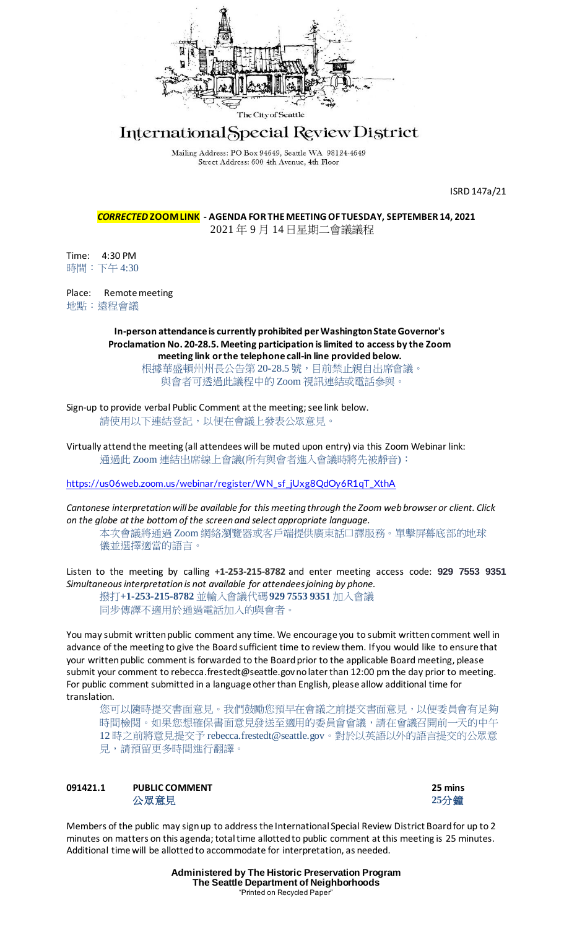

# International Special Review District

Mailing Address: PO Box 94649, Seattle WA 98124-4649 Street Address: 600 4th Avenue, 4th Floor

ISRD 147a/21

*CORRECTED* **ZOOM LINK - AGENDA FOR THE MEETING OF TUESDAY, SEPTEMBER 14, 2021** 2021 年 9 月 14 日星期二會議議程

Time: 4:30 PM 時間:下午 4:30

Place: Remote meeting 地點:遠程會議

> **In-person attendance is currently prohibited per Washington State Governor's Proclamation No. 20-28.5. Meeting participation is limited to access by the Zoom meeting link or the telephone call-in line provided below.**

根據華盛頓州州長公告第 20-28.5 號,目前禁止親自出席會議。 與會者可透過此議程中的 Zoom 視訊連結或電話參與。

Sign-up to provide verbal Public Comment at the meeting; see link below. 請使用以下連結登記,以便在會議上發表公眾意見。

Virtually attend the meeting (all attendees will be muted upon entry) via this Zoom Webinar link: 通過此 Zoom 連結出席線上會議(所有與會者進入會議時將先被靜音):

[https://us06web.zoom.us/webinar/register/WN\\_sf\\_jUxg8QdOy6R1qT\\_XthA](https://us06web.zoom.us/webinar/register/WN_sf_jUxg8QdOy6R1qT_XthA)

*Cantonese interpretation will be available for this meeting through the Zoom web browser or client. Click on the globe at the bottom of the screen and select appropriate language.*

本次會議將通過 Zoom 網絡瀏覽器或客戶端提供廣東話口譯服務。單擊屏幕底部的地球 儀並選擇適當的語言。

Listen to the meeting by calling **+1-253-215-8782** and enter meeting access code: **929 7553 9351** *Simultaneous interpretation is not available for attendees joining by phone.*

撥打**+1-253-215-8782** 並輸入會議代碼**929 7553 9351** 加入會議 同步傳譯不適用於通過電話加入的與會者。

You may submit written public comment any time. We encourage you to submit written comment well in advance of the meeting to give the Board sufficient time to review them. If you would like to ensure that your written public comment is forwarded to the Board prior to the applicable Board meeting, please submit your comment to rebecca.frestedt@seattle.gov no later than 12:00 pm the day prior to meeting. For public comment submitted in a language other than English, please allow additional time for translation.

您可以隨時提交書面意見。我們鼓勵您預早在會議之前提交書面意見,以便委員會有足夠 時間檢閱。如果您想確保書面意見發送至適用的委員會會議,請在會議召開前一天的中午 12 時之前將意見提交予 rebecca.frestedt@seattle.gov。對於以英語以外的語言提交的公眾意 見,請預留更多時間進行翻譯。

**091421.1 PUBLIC COMMENT 25 mins** 公眾意見 **25**分鐘



Members of the public may sign up to address the International Special Review District Board for up to 2 minutes on matters on this agenda; total time allotted to public comment at this meeting is 25 minutes. Additional time will be allotted to accommodate for interpretation, as needed.

> **Administered by The Historic Preservation Program The Seattle Department of Neighborhoods** "Printed on Recycled Paper"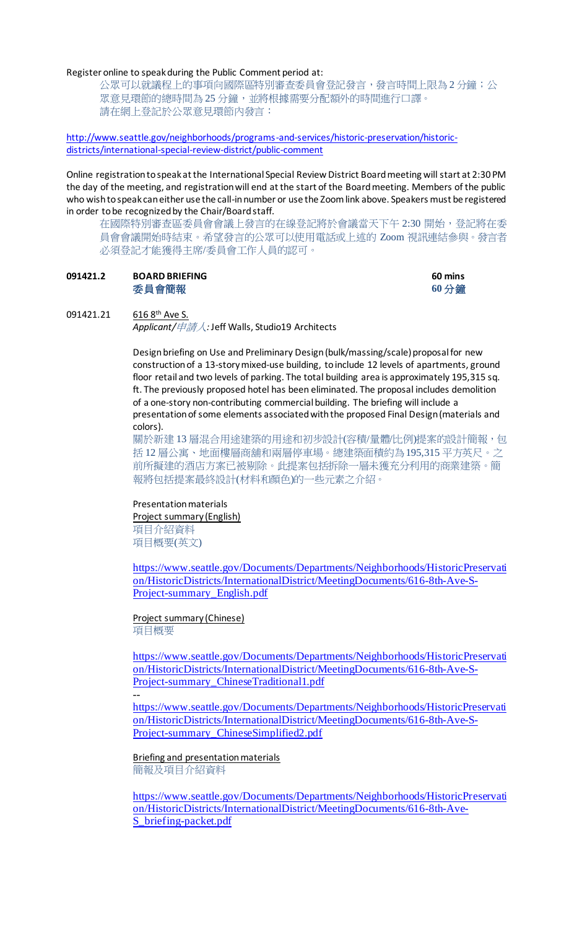#### Register online to speak during the Public Comment period at:

公眾可以就議程上的事項向國際區特別審查委員會登記發言,發言時間上限為 2 分鐘;公 眾意見環節的總時間為 25 分鐘,並將根據需要分配額外的時間進行口譯。 請在網上登記於公眾意見環節內發言:

[http://www.seattle.gov/neighborhoods/programs-and-services/historic-preservation/historic](http://www.seattle.gov/neighborhoods/programs-and-services/historic-preservation/historic-districts/international-special-review-district/public-comment)[districts/international-special-review-district/public-comment](http://www.seattle.gov/neighborhoods/programs-and-services/historic-preservation/historic-districts/international-special-review-district/public-comment)

Online registration to speak at the International Special Review District Board meeting will start at 2:30 PM the day of the meeting, and registration will end at the start of the Board meeting. Members of the public who wish to speak can either use the call-in number or use the Zoom link above. Speakers must be registered in order to be recognized by the Chair/Board staff.

在國際特別審查區委員會會議上發言的在線登記將於會議當天下午 2:30 開始,登記將在委 員會會議開始時結束。希望發言的公眾可以使用電話或上述的 Zoom 視訊連結參與。發言者 必須登記才能獲得主席/委員會工作人員的認可。

## **091421.2 BOARD BRIEFING 60 mins** 委員會簡報 **60** 分鐘

### 091421.21 616 8th Ave S.

*Applicant/*申請人*:* Jeff Walls, Studio19 Architects

Design briefing on Use and Preliminary Design (bulk/massing/scale) proposal for new construction of a 13-story mixed-use building, to include 12 levels of apartments, ground floor retail and two levels of parking. The total building area is approximately 195,315 sq. ft. The previously proposed hotel has been eliminated. The proposal includes demolition of a one-story non-contributing commercial building. The briefing will include a presentation of some elements associated with the proposed Final Design (materials and colors).

關於新建 13 層混合用途建築的用途和初步設計(容積/量體/比例)提案的設計簡報,包 括 12 層公寓、地面樓層商舖和兩層停車場。總建築面積約為195,315 平方英尺。之 前所擬建的酒店方案已被剔除。此提案包括拆除一層未獲充分利用的商業建築。簡 報將包括提案最終設計(材料和顏色)的一些元素之介紹。

#### Presentation materials

Project summary (English) 項目介紹資料 項目概要(英文)

[https://www.seattle.gov/Documents/Departments/Neighborhoods/HistoricPreservati](https://www.seattle.gov/Documents/Departments/Neighborhoods/HistoricPreservation/HistoricDistricts/InternationalDistrict/MeetingDocuments/616-8th-Ave-S-Project-summary_English.pdf) [on/HistoricDistricts/InternationalDistrict/MeetingDocuments/616-8th-Ave-S-](https://www.seattle.gov/Documents/Departments/Neighborhoods/HistoricPreservation/HistoricDistricts/InternationalDistrict/MeetingDocuments/616-8th-Ave-S-Project-summary_English.pdf)[Project-summary\\_English.pdf](https://www.seattle.gov/Documents/Departments/Neighborhoods/HistoricPreservation/HistoricDistricts/InternationalDistrict/MeetingDocuments/616-8th-Ave-S-Project-summary_English.pdf)

Project summary (Chinese) 項目概要

--

[https://www.seattle.gov/Documents/Departments/Neighborhoods/HistoricPreservati](https://www.seattle.gov/Documents/Departments/Neighborhoods/HistoricPreservation/HistoricDistricts/InternationalDistrict/MeetingDocuments/616-8th-Ave-S-Project-summary_ChineseTraditional1.pdf) [on/HistoricDistricts/InternationalDistrict/MeetingDocuments/616-8th-Ave-S-](https://www.seattle.gov/Documents/Departments/Neighborhoods/HistoricPreservation/HistoricDistricts/InternationalDistrict/MeetingDocuments/616-8th-Ave-S-Project-summary_ChineseTraditional1.pdf)[Project-summary\\_ChineseTraditional1.pdf](https://www.seattle.gov/Documents/Departments/Neighborhoods/HistoricPreservation/HistoricDistricts/InternationalDistrict/MeetingDocuments/616-8th-Ave-S-Project-summary_ChineseTraditional1.pdf)

[https://www.seattle.gov/Documents/Departments/Neighborhoods/HistoricPreservati](https://www.seattle.gov/Documents/Departments/Neighborhoods/HistoricPreservation/HistoricDistricts/InternationalDistrict/MeetingDocuments/616-8th-Ave-S-Project-summary_ChineseSimplified2.pdf) [on/HistoricDistricts/InternationalDistrict/MeetingDocuments/616-8th-Ave-S-](https://www.seattle.gov/Documents/Departments/Neighborhoods/HistoricPreservation/HistoricDistricts/InternationalDistrict/MeetingDocuments/616-8th-Ave-S-Project-summary_ChineseSimplified2.pdf)[Project-summary\\_ChineseSimplified2.pdf](https://www.seattle.gov/Documents/Departments/Neighborhoods/HistoricPreservation/HistoricDistricts/InternationalDistrict/MeetingDocuments/616-8th-Ave-S-Project-summary_ChineseSimplified2.pdf)

Briefing and presentation materials 簡報及項目介紹資料

[https://www.seattle.gov/Documents/Departments/Neighborhoods/HistoricPreservati](https://www.seattle.gov/Documents/Departments/Neighborhoods/HistoricPreservation/HistoricDistricts/InternationalDistrict/MeetingDocuments/616-8th-Ave-S_briefing-packet.pdf) [on/HistoricDistricts/InternationalDistrict/MeetingDocuments/616-8th-Ave-](https://www.seattle.gov/Documents/Departments/Neighborhoods/HistoricPreservation/HistoricDistricts/InternationalDistrict/MeetingDocuments/616-8th-Ave-S_briefing-packet.pdf)[S\\_briefing-packet.pdf](https://www.seattle.gov/Documents/Departments/Neighborhoods/HistoricPreservation/HistoricDistricts/InternationalDistrict/MeetingDocuments/616-8th-Ave-S_briefing-packet.pdf)